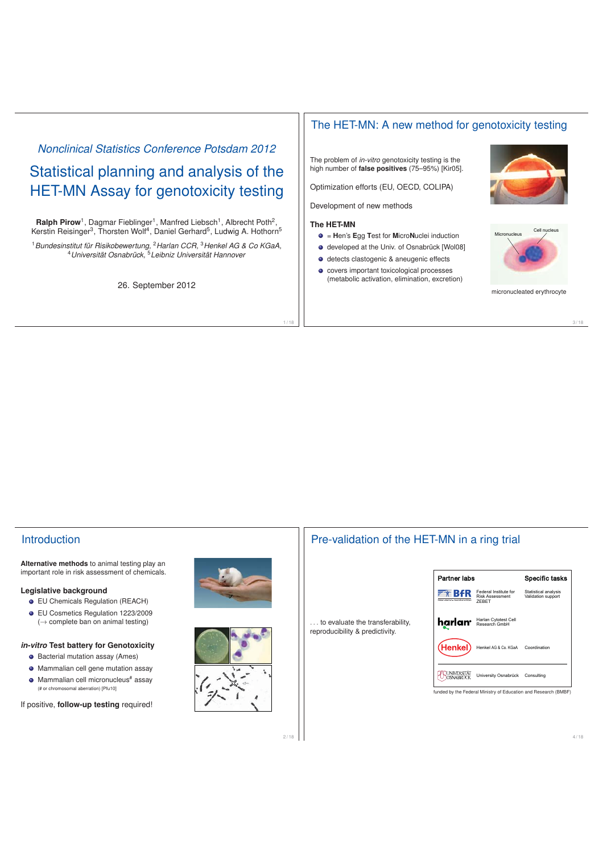# *Nonclinical Statistics Conference Potsdam 2012* Statistical planning and analysis of the HET-MN Assay for genotoxicity testing

Ralph Pirow<sup>1</sup>, Dagmar Fieblinger<sup>1</sup>, Manfred Liebsch<sup>1</sup>, Albrecht Poth<sup>2</sup>, Kerstin Reisinger<sup>3</sup>, Thorsten Wolf<sup>4</sup>, Daniel Gerhard<sup>5</sup>, Ludwig A. Hothorn<sup>5</sup>

<sup>1</sup>*Bundesinstitut für Risikobewertung,* <sup>2</sup>*Harlan CCR,* <sup>3</sup>*Henkel AG & Co KGaA,* <sup>4</sup>*Universität Osnabrück,* <sup>5</sup>*Leibniz Universität Hannover*

26. September 2012

## The HET-MN: A new method for genotoxicity testing

The problem of *in-vitro* genotoxicity testing is the high number of **false positives** (75–95%) [Kir05].

Optimization efforts (EU, OECD, COLIPA)

Development of new methods

#### **The HET-MN**

1 / 18

- = **H**en's **E**gg **T**est for **M**icro**N**uclei induction
- $\bullet$  developed at the Univ. of Osnabrück [Wol08]
- detects clastogenic & aneugenic effects
- covers important toxicological processes (metabolic activation, elimination, excretion)

micronucleated erythrocyte

## **Introduction**

**Alternative methods** to animal testing play an important role in risk assessment of chemicals.

#### **Legislative background**

- EU Chemicals Regulation (REACH)
- EU Cosmetics Regulation 1223/2009  $(\rightarrow$  complete ban on animal testing)

#### *in-vitro* **Test battery for Genotoxicity**

- Bacterial mutation assay (Ames)
- Mammalian cell gene mutation assay
- $\bullet$  Mammalian cell micronucleus<sup>#</sup> assay (# or chromosomal aberration) [Pfu10]

If positive, **follow-up testing** required!





2 / 18







3 / 18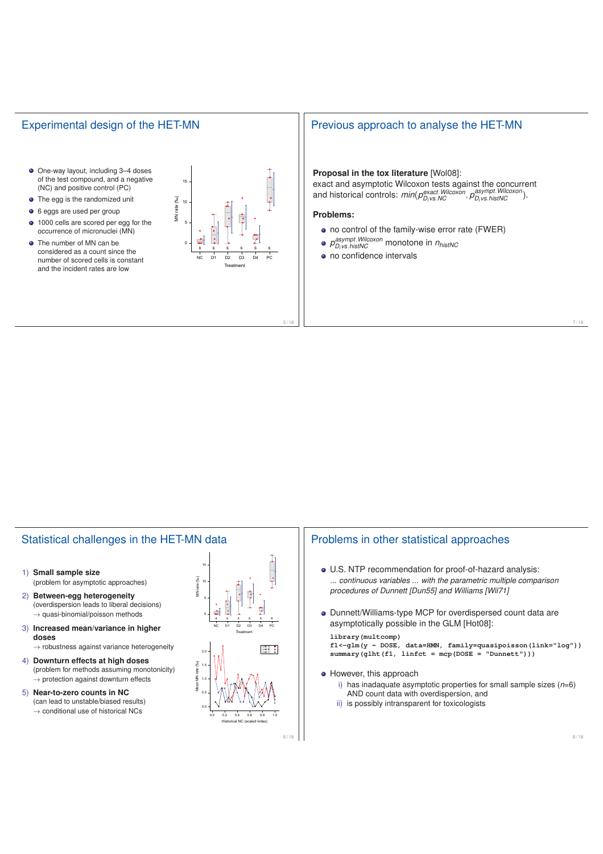## Experimental design of the HET-MN

- One-way layout, including 3–4 doses of the test compound, and a negative (NC) and positive control (PC)
- **•** The egg is the randomized unit
- 6 eggs are used per group
- 1000 cells are scored per egg for the occurrence of micronuclei (MN)
- The number of MN can be considered as a count since the number of scored cells is constant



## Previous approach to analyse the HET-MN

## **Proposal in the tox literature** [Wol08]:

exact and asymptotic Wilcoxon tests against the concurrent and historical controls: *min*(*pexact*.*Wilcoxon Di vs*.*NC* , *<sup>p</sup>asympt*.*Wilcoxon Di vs*.*histNC* ).

### **Problems:**

5 / 18

- no control of the family-wise error rate (FWER)
	- *pasympt*.*Wilcoxon Di vs*.*histNC* monotone in *nhistNC*
- no confidence intervals

## Statistical challenges in the HET-MN data

- 1) **Small sample size** (problem for asymptotic approaches)
- 2) **Between-egg heterogeneity** (overdispersion leads to liberal decisions)  $\rightarrow$  quasi-binomial/poisson methods
- 3) **Increased mean/variance in higher doses**
- $\rightarrow$  robustness against variance heterogeneity 4) **Downturn effects at high doses**
- (problem for methods assuming monotonicity)  $\rightarrow$  protection against downturn effects
- 5) **Near-to-zero counts in NC** (can lead to unstable/biased results)  $\rightarrow$  conditional use of historical NCs



## Problems in other statistical approaches

- U.S. NTP recommendation for proof-of-hazard analysis: *... continuous variables ... with the parametric multiple comparison procedures of Dunnett [Dun55] and Williams [Wil71]*
- Dunnett/Williams-type MCP for overdispersed count data are asymptotically possible in the GLM [Hot08]:

#### **library(multcomp)**

**f1<-glm(y ~ DOSE, data=HMN, family=quasipoisson(link="log")) summary(glht(f1, linfct = mcp(DOSE = "Dunnett")))**

- However, this approach
	- i) has inadaquate asymptotic properties for small sample sizes (*n*=6) AND count data with overdispersion, and
	- ii) is possibly intransparent for toxicologists

7 / 18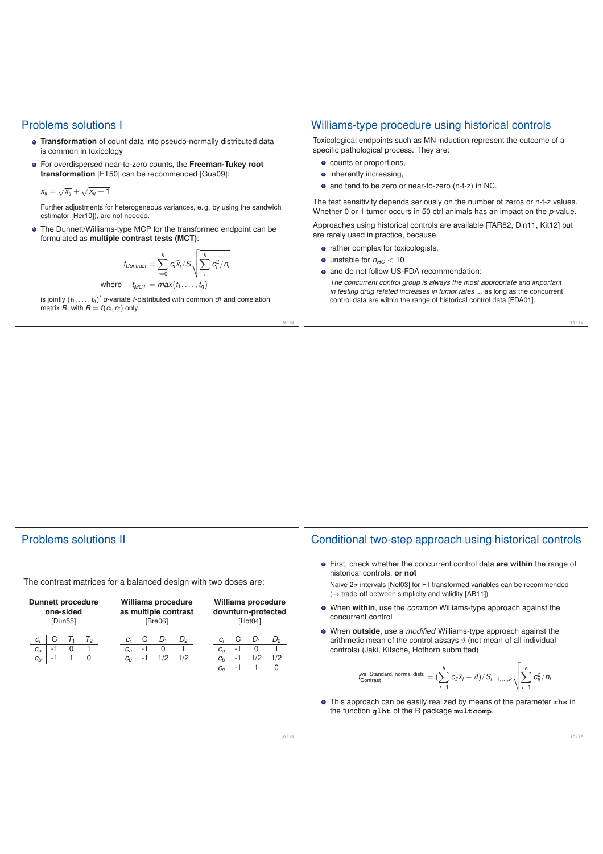### Problems solutions I

- **Transformation** of count data into pseudo-normally distributed data is common in toxicology
- For overdispersed near-to-zero counts, the **Freeman-Tukey root transformation** [FT50] can be recommended [Gua09]:

$$
x_{ij} = \sqrt{x_{ij}} + \sqrt{x_{ij} + 1}
$$

Further adjustments for heterogeneous variances, e. g. by using the sandwich estimator [Her10]), are not needed.

The Dunnett/Williams-type MCP for the transformed endpoint can be formulated as **multiple contrast tests (MCT)**:

$$
t_{Contrast} = \sum_{i=0}^{k} c_i \bar{x}_i / S \sqrt{\sum_{i}^{k} c_i^2 / n_i}
$$

where 
$$
t_{MCT} = max(t_1, ..., t_q)
$$

is jointly  $(t_1,\ldots,t_q)$  q-variate t-distributed with common *df* and correlation matrix  $R$ , with  $R = f(c_i, n_i)$  only.

## Williams-type procedure using historical controls

Toxicological endpoints such as MN induction represent the outcome of a specific pathological process. They are:

- counts or proportions,
- inherently increasing.
- and tend to be zero or near-to-zero (n-t-z) in NC.

The test sensitivity depends seriously on the number of zeros or n-t-z values. Whether 0 or 1 tumor occurs in 50 ctrl animals has an impact on the *p*-value.

Approaches using historical controls are available [TAR82, Din11, Kit12] but are rarely used in practice, because

- rather complex for toxicologists,
- $\bullet$  unstable for  $n_{HC} < 10$

 $9/1$ 

- and do not follow US-FDA recommendation:
- *The concurrent control group is always the most appropriate and important in testing drug related increases in tumor rates ...* as long as the concurrent control data are within the range of historical control data [FDA01].

#### 11 / 18

## Problems solutions II

The contrast matrices for a balanced design with two doses are:

| <b>Dunnett procedure</b><br>one-sided<br>[Dun55]               | <b>Williams procedure</b><br>as multiple contrast<br>[Bre06]                           | Williams procedure<br>downturn-protected<br>[Hot04]                                                               |
|----------------------------------------------------------------|----------------------------------------------------------------------------------------|-------------------------------------------------------------------------------------------------------------------|
| С<br>T1<br>Τ2<br>$c_i$<br>0<br>-1<br>$c_a$<br>0<br>-1<br>$c_b$ | С<br>$D_1$<br>$D_2$<br>$C_i$<br>0<br>-1<br>$c_a$<br>1/2<br>1/2<br>-1<br>c <sub>b</sub> | С<br>$D_1$<br>$D_2$<br>Ci<br>$-1$<br>0<br>$c_a$<br>1/2<br>$-1$<br>1/2<br>$c_b$<br>$\mathbf 0$<br>-1<br>1<br>$c_c$ |
|                                                                |                                                                                        | 10/18                                                                                                             |

## Conditional two-step approach using historical controls

First, check whether the concurrent control data **are within** the range of historical controls, **or not**

Naive  $2\sigma$  intervals [Nel03] for FT-transformed variables can be recommended  $(\rightarrow$  trade-off between simplicity and validity [AB11])

- When **within**, use the *common* Williams-type approach against the concurrent control
- When **outside**, use a *modified* Williams-type approach against the arithmetic mean of the control assays  $\vartheta$  (not mean of all individual controls) (Jaki, Kitsche, Hothorn submitted)

$$
t_{\text{Contrast}}^{\text{vs. Standard, normal dist.}} = \left(\sum_{i=1}^{k} c_{li} \bar{x}_i - \vartheta\right) / S_{i=1,...,k} \sqrt{\sum_{i=1}^{k} c_{li}^2 / n_i}
$$

This approach can be easily realized by means of the parameter **rhs** in the function **glht** of the R package **multcomp**.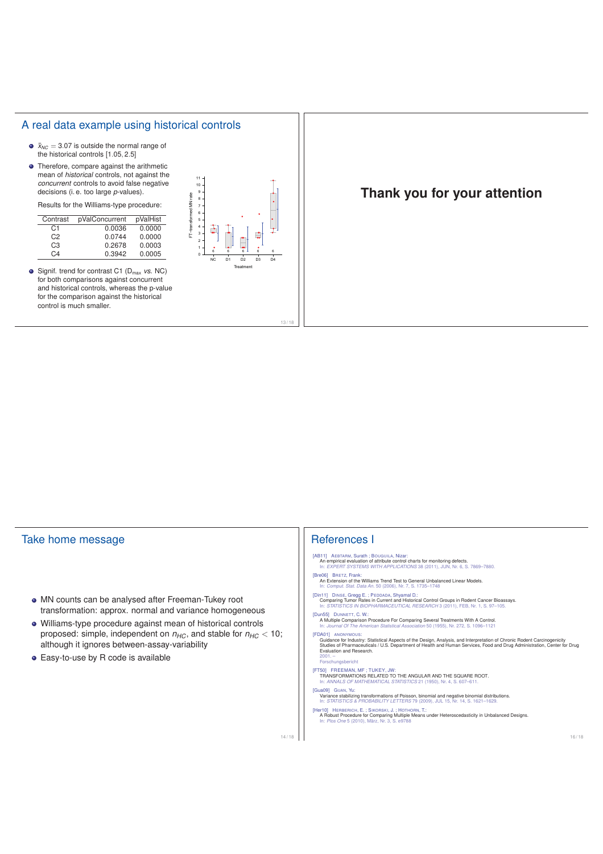## A real data example using historical controls

- $\bar{x}_{NC} = 3.07$  is outside the normal range of the historical controls [1.05, 2.5]
- Therefore, compare against the arithmetic mean of *historical* controls, not against the *concurrent* controls to avoid false negative decisions (i. e. too large *p*-values).

Results for the Williams-type procedure:

| Contrast       | pValConcurrent | pValHist |
|----------------|----------------|----------|
| C <sub>1</sub> | 0.0036         | 0.0000   |
| C <sub>2</sub> | 0.0744         | 0.0000   |
| CЗ             | 0.2678         | 0.0003   |
| C4             | 0.3942         | 0.0005   |

**•** Signif. trend for contrast C1 (D<sub>max</sub> *vs.* NC) for both comparisons against concurrent and historical controls, whereas the p-value for the comparison against the historical control is much smaller.



 $13/$ 

## **Thank you for your attention**

| Take home message<br>• MN counts can be analysed after Freeman-Tukey root<br>transformation: approx. normal and variance homogeneous<br>• Williams-type procedure against mean of historical controls<br>proposed: simple, independent on $n_{HC}$ , and stable for $n_{HC}$ < 10;<br>although it ignores between-assay-variability<br>• Easy-to-use by R code is available | <b>References I</b><br>[AB11] AEBTARM, Surath ; BOUGUILA, Nizar:<br>An empirical evaluation of attribute control charts for monitoring defects.<br>In: EXPERT SYSTEMS WITH APPLICATIONS 38 (2011), JUN, Nr. 6, S. 7869-7880.<br>[Bre06] BRETZ, Frank:<br>An Extension of the Williams Trend Test to General Unbalanced Linear Models.<br>In: Comput. Stat. Data An. 50 (2006), Nr. 7, S. 1735-1748<br>[Din11] DINSE, Gregg E.; PEDDADA, Shyamal D.:<br>Comparing Tumor Rates in Current and Historical Control Groups in Rodent Cancer Bioassays.<br>In: STATISTICS IN BIOPHARMACEUTICAL RESEARCH 3 (2011), FEB, Nr. 1, S. 97-105.<br>[Dun55] DUNNETT, C. W.:                                                                                                                                                                                                                                                                                                                                                                                                                                                      |  |
|-----------------------------------------------------------------------------------------------------------------------------------------------------------------------------------------------------------------------------------------------------------------------------------------------------------------------------------------------------------------------------|--------------------------------------------------------------------------------------------------------------------------------------------------------------------------------------------------------------------------------------------------------------------------------------------------------------------------------------------------------------------------------------------------------------------------------------------------------------------------------------------------------------------------------------------------------------------------------------------------------------------------------------------------------------------------------------------------------------------------------------------------------------------------------------------------------------------------------------------------------------------------------------------------------------------------------------------------------------------------------------------------------------------------------------------------------------------------------------------------------------------|--|
|                                                                                                                                                                                                                                                                                                                                                                             | A Multiple Comparison Procedure For Comparing Several Treatments With A Control.<br>In: Journal Of The American Statistical Association 50 (1955), Nr. 272, S. 1096-1121<br><b>IFDA011 ANONYMOUS:</b><br>Guidance for Industry: Statistical Aspects of the Design, Analysis, and Interpretation of Chronic Rodent Carcinogenicity<br>Studies of Pharmaceuticals / U.S. Department of Health and Human Services, Food and Drug Administration, Center for Drug<br>Evaluation and Research.<br>$2001 -$<br>Forschungsbericht<br>[FT50] FREEMAN, MF; TUKEY, JW:<br>TRANSFORMATIONS RELATED TO THE ANGULAR AND THE SQUARE ROOT.<br>In: ANNALS OF MATHEMATICAL STATISTICS 21 (1950), Nr. 4, S. 607-611.<br>[Gua09] GUAN, Yu:<br>Variance stabilizing transformations of Poisson, binomial and negative binomial distributions.<br>In: STATISTICS & PROBABILITY LETTERS 79 (2009), JUL 15, Nr. 14, S. 1621-1629.<br>[Her10] HERBERICH, E.; SIKORSKI, J.; HOTHORN, T.:<br>A Robust Procedure for Comparing Multiple Means under Heteroscedasticity in Unbalanced Designs.<br>In: Plos One 5 (2010), März, Nr. 3, S. e9788 |  |
| 14/18                                                                                                                                                                                                                                                                                                                                                                       | 16/18                                                                                                                                                                                                                                                                                                                                                                                                                                                                                                                                                                                                                                                                                                                                                                                                                                                                                                                                                                                                                                                                                                              |  |
|                                                                                                                                                                                                                                                                                                                                                                             |                                                                                                                                                                                                                                                                                                                                                                                                                                                                                                                                                                                                                                                                                                                                                                                                                                                                                                                                                                                                                                                                                                                    |  |